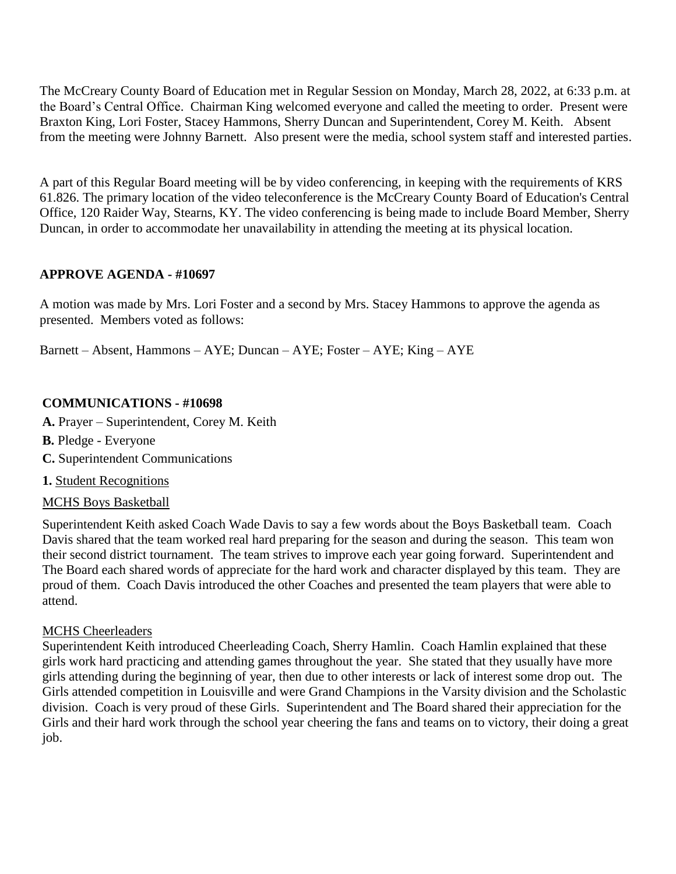The McCreary County Board of Education met in Regular Session on Monday, March 28, 2022, at 6:33 p.m. at the Board's Central Office. Chairman King welcomed everyone and called the meeting to order. Present were Braxton King, Lori Foster, Stacey Hammons, Sherry Duncan and Superintendent, Corey M. Keith. Absent from the meeting were Johnny Barnett. Also present were the media, school system staff and interested parties.

A part of this Regular Board meeting will be by video conferencing, in keeping with the requirements of KRS 61.826. The primary location of the video teleconference is the McCreary County Board of Education's Central Office, 120 Raider Way, Stearns, KY. The video conferencing is being made to include Board Member, Sherry Duncan, in order to accommodate her unavailability in attending the meeting at its physical location.

### **APPROVE AGENDA - #10697**

A motion was made by Mrs. Lori Foster and a second by Mrs. Stacey Hammons to approve the agenda as presented. Members voted as follows:

Barnett – Absent, Hammons – AYE; Duncan – AYE; Foster – AYE; King – AYE

### **COMMUNICATIONS - #10698**

**A.** Prayer – Superintendent, Corey M. Keith

- **B.** Pledge Everyone
- **C.** Superintendent Communications
- **1.** Student Recognitions

#### MCHS Boys Basketball

Superintendent Keith asked Coach Wade Davis to say a few words about the Boys Basketball team. Coach Davis shared that the team worked real hard preparing for the season and during the season. This team won their second district tournament. The team strives to improve each year going forward. Superintendent and The Board each shared words of appreciate for the hard work and character displayed by this team. They are proud of them. Coach Davis introduced the other Coaches and presented the team players that were able to attend.

#### MCHS Cheerleaders

Superintendent Keith introduced Cheerleading Coach, Sherry Hamlin. Coach Hamlin explained that these girls work hard practicing and attending games throughout the year. She stated that they usually have more girls attending during the beginning of year, then due to other interests or lack of interest some drop out. The Girls attended competition in Louisville and were Grand Champions in the Varsity division and the Scholastic division. Coach is very proud of these Girls. Superintendent and The Board shared their appreciation for the Girls and their hard work through the school year cheering the fans and teams on to victory, their doing a great job.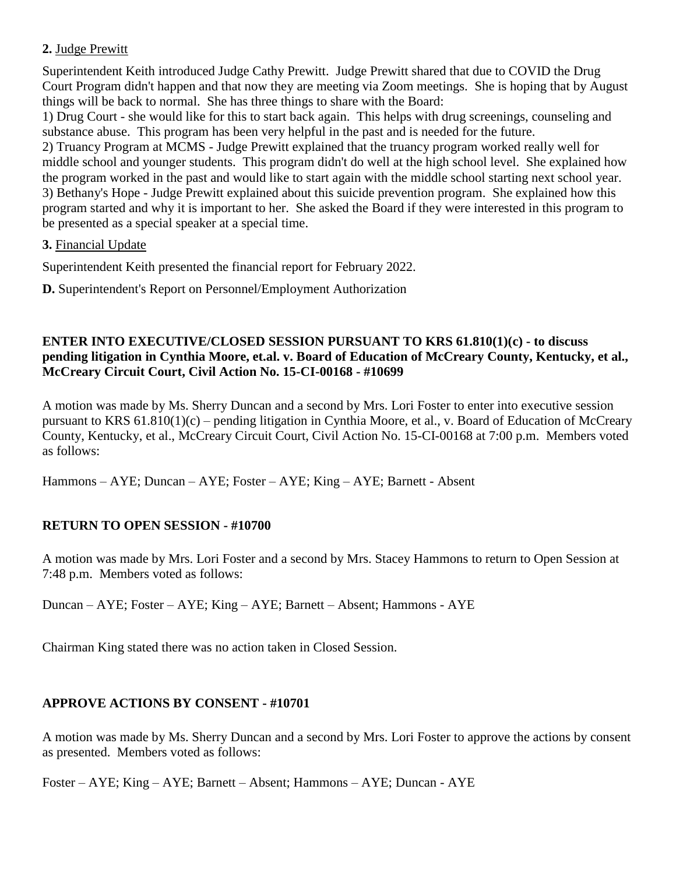# **2.** Judge Prewitt

Superintendent Keith introduced Judge Cathy Prewitt. Judge Prewitt shared that due to COVID the Drug Court Program didn't happen and that now they are meeting via Zoom meetings. She is hoping that by August things will be back to normal. She has three things to share with the Board:

1) Drug Court - she would like for this to start back again. This helps with drug screenings, counseling and substance abuse. This program has been very helpful in the past and is needed for the future.

2) Truancy Program at MCMS - Judge Prewitt explained that the truancy program worked really well for middle school and younger students. This program didn't do well at the high school level. She explained how the program worked in the past and would like to start again with the middle school starting next school year. 3) Bethany's Hope - Judge Prewitt explained about this suicide prevention program. She explained how this program started and why it is important to her. She asked the Board if they were interested in this program to be presented as a special speaker at a special time.

### **3.** Financial Update

Superintendent Keith presented the financial report for February 2022.

**D.** Superintendent's Report on Personnel/Employment Authorization

#### **ENTER INTO EXECUTIVE/CLOSED SESSION PURSUANT TO KRS 61.810(1)(c) - to discuss pending litigation in Cynthia Moore, et.al. v. Board of Education of McCreary County, Kentucky, et al., McCreary Circuit Court, Civil Action No. 15-CI-00168 - #10699**

A motion was made by Ms. Sherry Duncan and a second by Mrs. Lori Foster to enter into executive session pursuant to KRS 61.810(1)(c) – pending litigation in Cynthia Moore, et al., v. Board of Education of McCreary County, Kentucky, et al., McCreary Circuit Court, Civil Action No. 15-CI-00168 at 7:00 p.m. Members voted as follows:

Hammons – AYE; Duncan – AYE; Foster – AYE; King – AYE; Barnett - Absent

# **RETURN TO OPEN SESSION - #10700**

A motion was made by Mrs. Lori Foster and a second by Mrs. Stacey Hammons to return to Open Session at 7:48 p.m. Members voted as follows:

Duncan – AYE; Foster – AYE; King – AYE; Barnett – Absent; Hammons - AYE

Chairman King stated there was no action taken in Closed Session.

# **APPROVE ACTIONS BY CONSENT - #10701**

A motion was made by Ms. Sherry Duncan and a second by Mrs. Lori Foster to approve the actions by consent as presented. Members voted as follows:

Foster – AYE; King – AYE; Barnett – Absent; Hammons – AYE; Duncan - AYE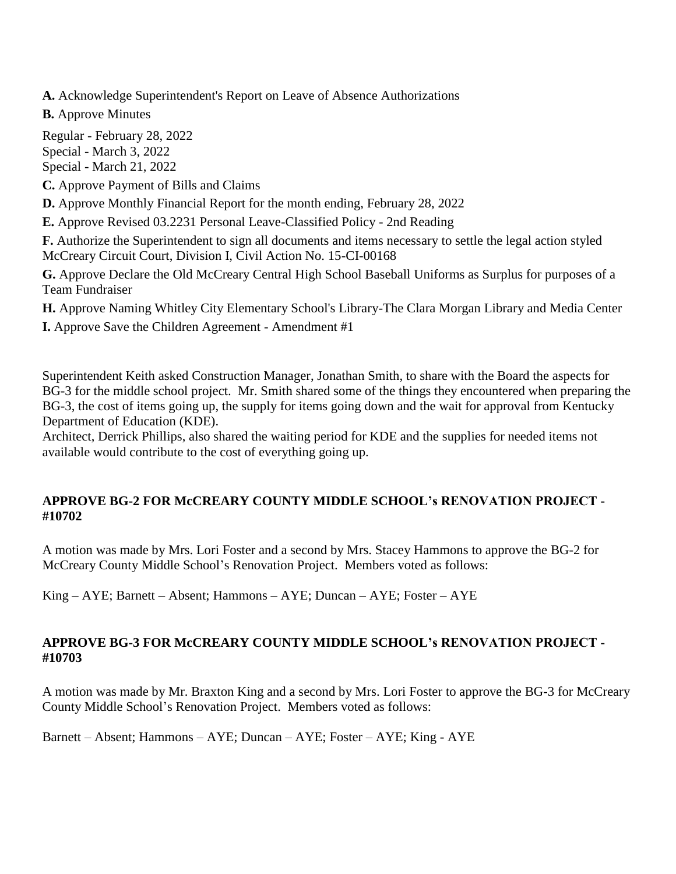**A.** Acknowledge Superintendent's Report on Leave of Absence Authorizations

**B.** Approve Minutes

Regular - February 28, 2022 Special - March 3, 2022 Special - March 21, 2022

**C.** Approve Payment of Bills and Claims

**D.** Approve Monthly Financial Report for the month ending, February 28, 2022

**E.** Approve Revised 03.2231 Personal Leave-Classified Policy - 2nd Reading

**F.** Authorize the Superintendent to sign all documents and items necessary to settle the legal action styled McCreary Circuit Court, Division I, Civil Action No. 15-CI-00168

**G.** Approve Declare the Old McCreary Central High School Baseball Uniforms as Surplus for purposes of a Team Fundraiser

**H.** Approve Naming Whitley City Elementary School's Library-The Clara Morgan Library and Media Center **I.** Approve Save the Children Agreement - Amendment #1

Superintendent Keith asked Construction Manager, Jonathan Smith, to share with the Board the aspects for BG-3 for the middle school project. Mr. Smith shared some of the things they encountered when preparing the BG-3, the cost of items going up, the supply for items going down and the wait for approval from Kentucky Department of Education (KDE).

Architect, Derrick Phillips, also shared the waiting period for KDE and the supplies for needed items not available would contribute to the cost of everything going up.

# **APPROVE BG-2 FOR McCREARY COUNTY MIDDLE SCHOOL's RENOVATION PROJECT - #10702**

A motion was made by Mrs. Lori Foster and a second by Mrs. Stacey Hammons to approve the BG-2 for McCreary County Middle School's Renovation Project. Members voted as follows:

King – AYE; Barnett – Absent; Hammons – AYE; Duncan – AYE; Foster – AYE

# **APPROVE BG-3 FOR McCREARY COUNTY MIDDLE SCHOOL's RENOVATION PROJECT - #10703**

A motion was made by Mr. Braxton King and a second by Mrs. Lori Foster to approve the BG-3 for McCreary County Middle School's Renovation Project. Members voted as follows:

Barnett – Absent; Hammons – AYE; Duncan – AYE; Foster – AYE; King - AYE